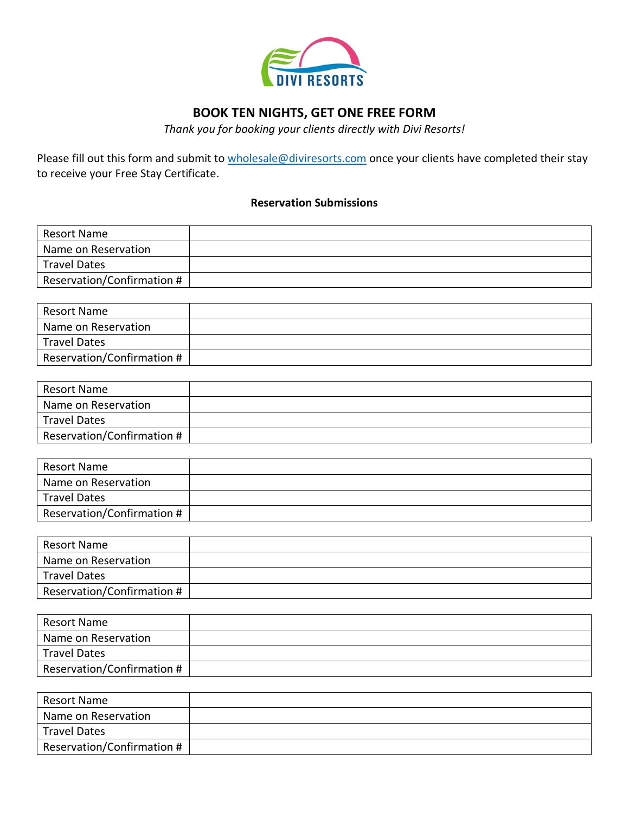

## **BOOK TEN NIGHTS, GET ONE FREE FORM**

*Thank you for booking your clients directly with Divi Resorts!*

Please fill out this form and submit to [wholesale@diviresorts.com](mailto:wholesale@diviresorts.com) once your clients have completed their stay to receive your Free Stay Certificate.

## **Reservation Submissions**

| Resort Name                |  |
|----------------------------|--|
| Name on Reservation        |  |
| <b>Travel Dates</b>        |  |
| Reservation/Confirmation # |  |

| Resort Name                |  |
|----------------------------|--|
| Name on Reservation        |  |
| <b>Travel Dates</b>        |  |
| Reservation/Confirmation # |  |

| Resort Name                |  |
|----------------------------|--|
| Name on Reservation        |  |
| Travel Dates               |  |
| Reservation/Confirmation # |  |

| Resort Name                |  |
|----------------------------|--|
| Name on Reservation        |  |
| <b>Travel Dates</b>        |  |
| Reservation/Confirmation # |  |

| <b>Resort Name</b>         |  |
|----------------------------|--|
| Name on Reservation        |  |
| <b>Travel Dates</b>        |  |
| Reservation/Confirmation # |  |

| <b>Resort Name</b>         |  |
|----------------------------|--|
| Name on Reservation        |  |
| Travel Dates               |  |
| Reservation/Confirmation # |  |

| Resort Name                |  |
|----------------------------|--|
| Name on Reservation        |  |
| <b>Travel Dates</b>        |  |
| Reservation/Confirmation # |  |